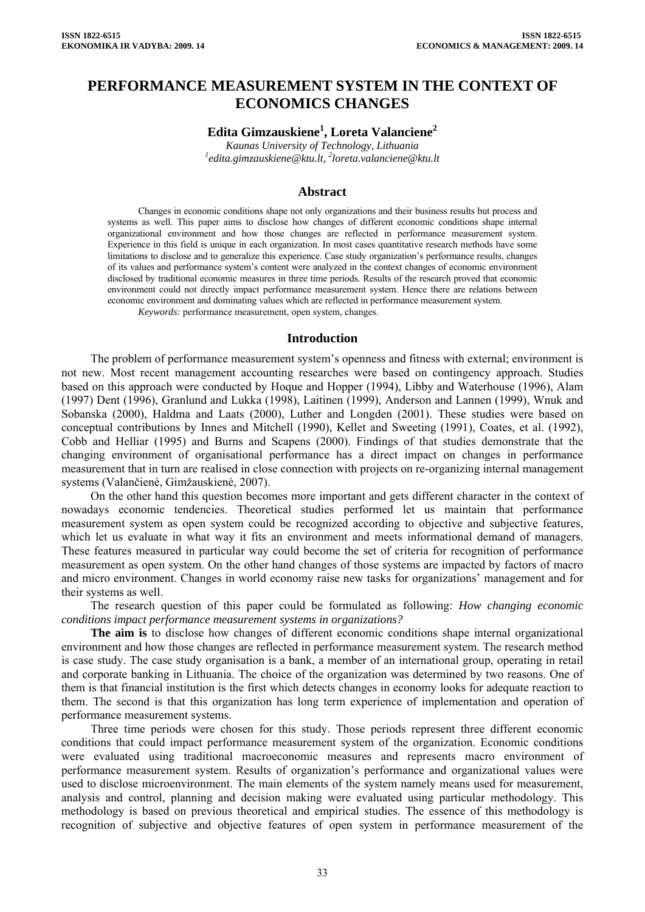# **PERFORMANCE MEASUREMENT SYSTEM IN THE CONTEXT OF ECONOMICS CHANGES**

**Edita Gimzauskiene1 , Loreta Valanciene2**

*Kaunas University of Technology, Lithuania 1 [edita.gimzauskiene@ktu.lt,](mailto:edita.gimzauskiene@ktu.lt) 2 loreta.valanciene@ktu.lt* 

### **Abstract**

Changes in economic conditions shape not only organizations and their business results but process and systems as well. This paper aims to disclose how changes of different economic conditions shape internal organizational environment and how those changes are reflected in performance measurement system. Experience in this field is unique in each organization. In most cases quantitative research methods have some limitations to disclose and to generalize this experience. Case study organization's performance results, changes of its values and performance system's content were analyzed in the context changes of economic environment disclosed by traditional economic measures in three time periods. Results of the research proved that economic environment could not directly impact performance measurement system. Hence there are relations between economic environment and dominating values which are reflected in performance measurement system. *Keywords:* performance measurement, open system, changes.

## **Introduction**

The problem of performance measurement system's openness and fitness with external; environment is not new. Most recent management accounting researches were based on contingency approach. Studies based on this approach were conducted by Hoque and Hopper (1994), Libby and Waterhouse (1996), Alam (1997) Dent (1996), Granlund and Lukka (1998), Laitinen (1999), Anderson and Lannen (1999), Wnuk and Sobanska (2000), Haldma and Laats (2000), Luther and Longden (2001). These studies were based on conceptual contributions by Innes and Mitchell (1990), Kellet and Sweeting (1991), Coates, et al. (1992), Cobb and Helliar (1995) and Burns and Scapens (2000). Findings of that studies demonstrate that the changing environment of organisational performance has a direct impact on changes in performance measurement that in turn are realised in close connection with projects on re-organizing internal management systems (Valančienė, Gimžauskienė, 2007).

On the other hand this question becomes more important and gets different character in the context of nowadays economic tendencies. Theoretical studies performed let us maintain that performance measurement system as open system could be recognized according to objective and subjective features, which let us evaluate in what way it fits an environment and meets informational demand of managers. These features measured in particular way could become the set of criteria for recognition of performance measurement as open system. On the other hand changes of those systems are impacted by factors of macro and micro environment. Changes in world economy raise new tasks for organizations' management and for their systems as well.

The research question of this paper could be formulated as following: *How changing economic conditions impact performance measurement systems in organizations?* 

**The aim is** to disclose how changes of different economic conditions shape internal organizational environment and how those changes are reflected in performance measurement system. The research method is case study. The case study organisation is a bank, a member of an international group, operating in retail and corporate banking in Lithuania. The choice of the organization was determined by two reasons. One of them is that financial institution is the first which detects changes in economy looks for adequate reaction to them. The second is that this organization has long term experience of implementation and operation of performance measurement systems.

Three time periods were chosen for this study. Those periods represent three different economic conditions that could impact performance measurement system of the organization. Economic conditions were evaluated using traditional macroeconomic measures and represents macro environment of performance measurement system. Results of organization's performance and organizational values were used to disclose microenvironment. The main elements of the system namely means used for measurement, analysis and control, planning and decision making were evaluated using particular methodology. This methodology is based on previous theoretical and empirical studies. The essence of this methodology is recognition of subjective and objective features of open system in performance measurement of the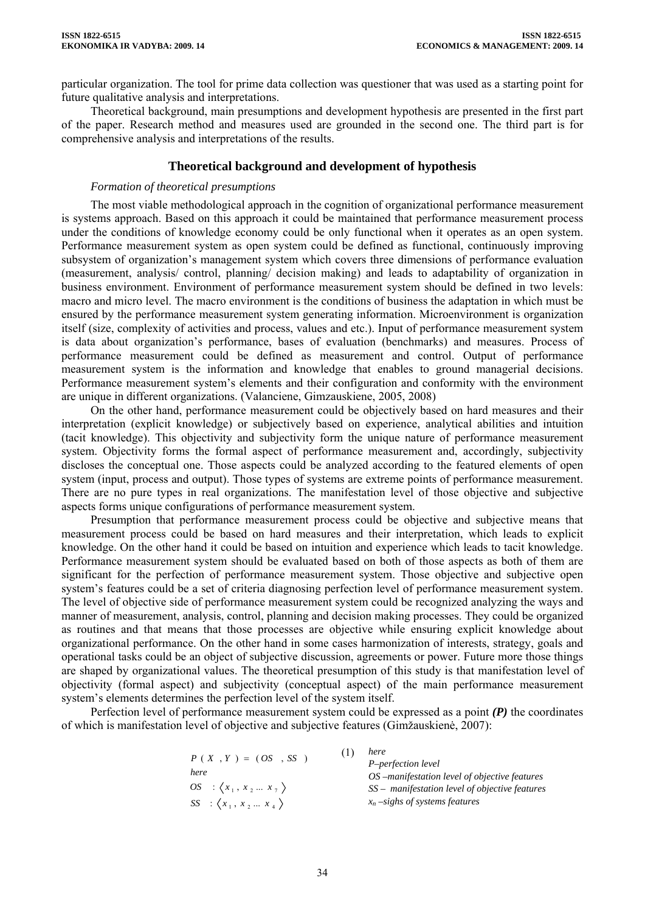particular organization. The tool for prime data collection was questioner that was used as a starting point for future qualitative analysis and interpretations.

Theoretical background, main presumptions and development hypothesis are presented in the first part of the paper. Research method and measures used are grounded in the second one. The third part is for comprehensive analysis and interpretations of the results.

## **Theoretical background and development of hypothesis**

#### *Formation of theoretical presumptions*

The most viable methodological approach in the cognition of organizational performance measurement is systems approach. Based on this approach it could be maintained that performance measurement process under the conditions of knowledge economy could be only functional when it operates as an open system. Performance measurement system as open system could be defined as functional, continuously improving subsystem of organization's management system which covers three dimensions of performance evaluation (measurement, analysis/ control, planning/ decision making) and leads to adaptability of organization in business environment. Environment of performance measurement system should be defined in two levels: macro and micro level. The macro environment is the conditions of business the adaptation in which must be ensured by the performance measurement system generating information. Microenvironment is organization itself (size, complexity of activities and process, values and etc.). Input of performance measurement system is data about organization's performance, bases of evaluation (benchmarks) and measures. Process of performance measurement could be defined as measurement and control. Output of performance measurement system is the information and knowledge that enables to ground managerial decisions. Performance measurement system's elements and their configuration and conformity with the environment are unique in different organizations. (Valanciene, Gimzauskiene, 2005, 2008)

On the other hand, performance measurement could be objectively based on hard measures and their interpretation (explicit knowledge) or subjectively based on experience, analytical abilities and intuition (tacit knowledge). This objectivity and subjectivity form the unique nature of performance measurement system. Objectivity forms the formal aspect of performance measurement and, accordingly, subjectivity discloses the conceptual one. Those aspects could be analyzed according to the featured elements of open system (input, process and output). Those types of systems are extreme points of performance measurement. There are no pure types in real organizations. The manifestation level of those objective and subjective aspects forms unique configurations of performance measurement system.

Presumption that performance measurement process could be objective and subjective means that measurement process could be based on hard measures and their interpretation, which leads to explicit knowledge. On the other hand it could be based on intuition and experience which leads to tacit knowledge. Performance measurement system should be evaluated based on both of those aspects as both of them are significant for the perfection of performance measurement system. Those objective and subjective open system's features could be a set of criteria diagnosing perfection level of performance measurement system. The level of objective side of performance measurement system could be recognized analyzing the ways and manner of measurement, analysis, control, planning and decision making processes. They could be organized as routines and that means that those processes are objective while ensuring explicit knowledge about organizational performance. On the other hand in some cases harmonization of interests, strategy, goals and operational tasks could be an object of subjective discussion, agreements or power. Future more those things are shaped by organizational values. The theoretical presumption of this study is that manifestation level of objectivity (formal aspect) and subjectivity (conceptual aspect) of the main performance measurement system's elements determines the perfection level of the system itself.

Perfection level of performance measurement system could be expressed as a point *(P)* the coordinates of which is manifestation level of objective and subjective features (Gimžauskienė, 2007):

|                                        | here                                             |
|----------------------------------------|--------------------------------------------------|
| $P(X, Y) = (OS, SS)$                   | P-perfection level                               |
| here                                   | OS –manifestation level of objective features    |
| $OS$ : $\langle x_1, x_2  x_7 \rangle$ | $SS$ – manifestation level of objective features |
| $SS$ : $\langle x_1, x_2  x_4 \rangle$ | $x_n$ -sighs of systems features                 |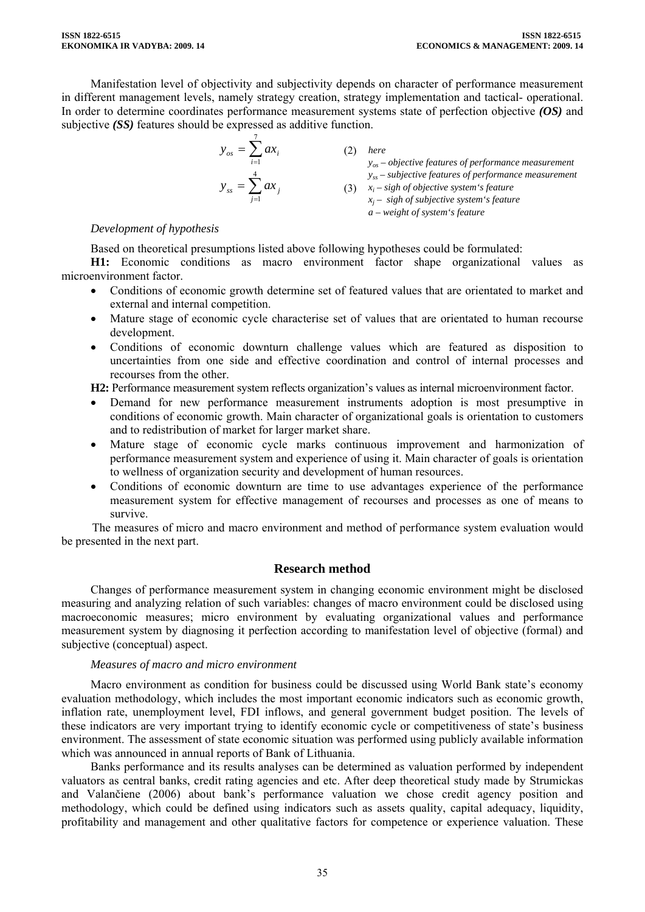Manifestation level of objectivity and subjectivity depends on character of performance measurement in different management levels, namely strategy creation, strategy implementation and tactical- operational. In order to determine coordinates performance measurement systems state of perfection objective *(OS)* and subjective *(SS)* features should be expressed as additive function.

$$
y_{os} = \sum_{i=1}^{7} ax_i
$$
\n(2) *here*  
\n
$$
y_{os} - objective
$$
 *features of performance measurement*  
\n
$$
y_{ss} = \sum_{j=1}^{4} ax_j
$$
\n(3)  $x_i - sight$  of objective system's *feature*  
\n
$$
x_j - sight
$$
 of subjective *system's feature*  
\n
$$
a - weight
$$
 of *system's feature*

# *Development of hypothesis*

Based on theoretical presumptions listed above following hypotheses could be formulated:

**H1:** Economic conditions as macro environment factor shape organizational values as microenvironment factor.

- Conditions of economic growth determine set of featured values that are orientated to market and external and internal competition.
- Mature stage of economic cycle characterise set of values that are orientated to human recourse development.
- Conditions of economic downturn challenge values which are featured as disposition to uncertainties from one side and effective coordination and control of internal processes and recourses from the other.

**H2:** Performance measurement system reflects organization's values as internal microenvironment factor.

- Demand for new performance measurement instruments adoption is most presumptive in conditions of economic growth. Main character of organizational goals is orientation to customers and to redistribution of market for larger market share.
- Mature stage of economic cycle marks continuous improvement and harmonization of performance measurement system and experience of using it. Main character of goals is orientation to wellness of organization security and development of human resources.
- Conditions of economic downturn are time to use advantages experience of the performance measurement system for effective management of recourses and processes as one of means to survive.

The measures of micro and macro environment and method of performance system evaluation would be presented in the next part.

# **Research method**

Changes of performance measurement system in changing economic environment might be disclosed measuring and analyzing relation of such variables: changes of macro environment could be disclosed using macroeconomic measures; micro environment by evaluating organizational values and performance measurement system by diagnosing it perfection according to manifestation level of objective (formal) and subjective (conceptual) aspect.

# *Measures of macro and micro environment*

Macro environment as condition for business could be discussed using World Bank state's economy evaluation methodology, which includes the most important economic indicators such as economic growth, inflation rate, unemployment level, FDI inflows, and general government budget position. The levels of these indicators are very important trying to identify economic cycle or competitiveness of state's business environment. The assessment of state economic situation was performed using publicly available information which was announced in annual reports of Bank of Lithuania.

Banks performance and its results analyses can be determined as valuation performed by independent valuators as central banks, credit rating agencies and etc. After deep theoretical study made by Strumickas and Valančiene (2006) about bank's performance valuation we chose credit agency position and methodology, which could be defined using indicators such as assets quality, capital adequacy, liquidity, profitability and management and other qualitative factors for competence or experience valuation. These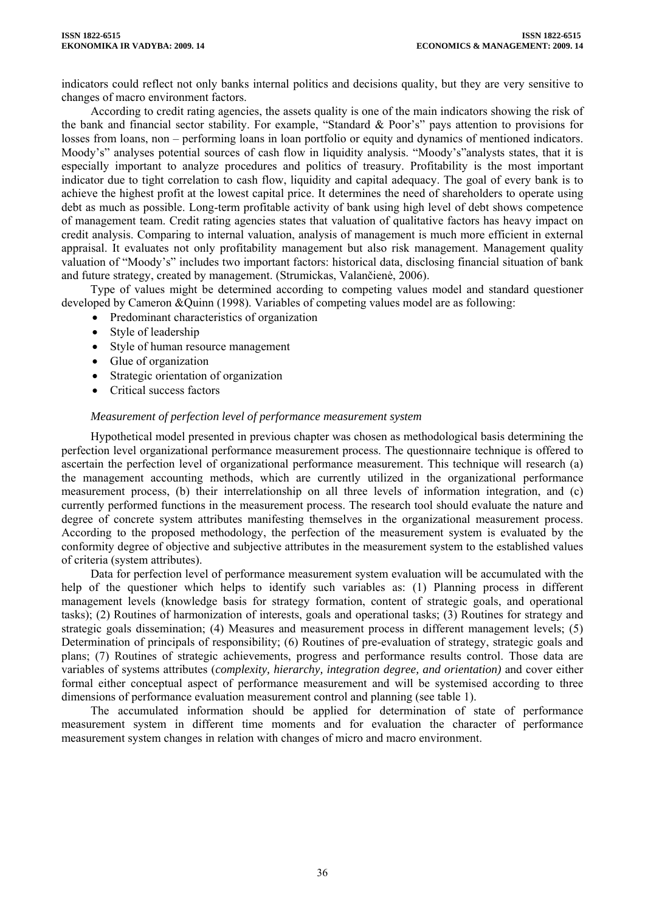indicators could reflect not only banks internal politics and decisions quality, but they are very sensitive to changes of macro environment factors.

According to credit rating agencies, the assets quality is one of the main indicators showing the risk of the bank and financial sector stability. For example, "Standard & Poor's" pays attention to provisions for losses from loans, non – performing loans in loan portfolio or equity and dynamics of mentioned indicators. Moody's" analyses potential sources of cash flow in liquidity analysis. "Moody's"analysts states, that it is especially important to analyze procedures and politics of treasury. Profitability is the most important indicator due to tight correlation to cash flow, liquidity and capital adequacy. The goal of every bank is to achieve the highest profit at the lowest capital price. It determines the need of shareholders to operate using debt as much as possible. Long-term profitable activity of bank using high level of debt shows competence of management team. Credit rating agencies states that valuation of qualitative factors has heavy impact on credit analysis. Comparing to internal valuation, analysis of management is much more efficient in external appraisal. It evaluates not only profitability management but also risk management. Management quality valuation of "Moody's" includes two important factors: historical data, disclosing financial situation of bank and future strategy, created by management. (Strumickas, Valančienė, 2006).

Type of values might be determined according to competing values model and standard questioner developed by Cameron &Quinn (1998). Variables of competing values model are as following:

- Predominant characteristics of organization
- Style of leadership
- Style of human resource management
- Glue of organization
- Strategic orientation of organization
- Critical success factors

#### *Measurement of perfection level of performance measurement system*

Hypothetical model presented in previous chapter was chosen as methodological basis determining the perfection level organizational performance measurement process. The questionnaire technique is offered to ascertain the perfection level of organizational performance measurement. This technique will research (a) the management accounting methods, which are currently utilized in the organizational performance measurement process, (b) their interrelationship on all three levels of information integration, and (c) currently performed functions in the measurement process. The research tool should evaluate the nature and degree of concrete system attributes manifesting themselves in the organizational measurement process. According to the proposed methodology, the perfection of the measurement system is evaluated by the conformity degree of objective and subjective attributes in the measurement system to the established values of criteria (system attributes).

Data for perfection level of performance measurement system evaluation will be accumulated with the help of the questioner which helps to identify such variables as: (1) Planning process in different management levels (knowledge basis for strategy formation, content of strategic goals, and operational tasks); (2) Routines of harmonization of interests, goals and operational tasks; (3) Routines for strategy and strategic goals dissemination; (4) Measures and measurement process in different management levels; (5) Determination of principals of responsibility; (6) Routines of pre-evaluation of strategy, strategic goals and plans; (7) Routines of strategic achievements, progress and performance results control. Those data are variables of systems attributes (*complexity, hierarchy, integration degree, and orientation)* and cover either formal either conceptual aspect of performance measurement and will be systemised according to three dimensions of performance evaluation measurement control and planning (see table 1).

The accumulated information should be applied for determination of state of performance measurement system in different time moments and for evaluation the character of performance measurement system changes in relation with changes of micro and macro environment.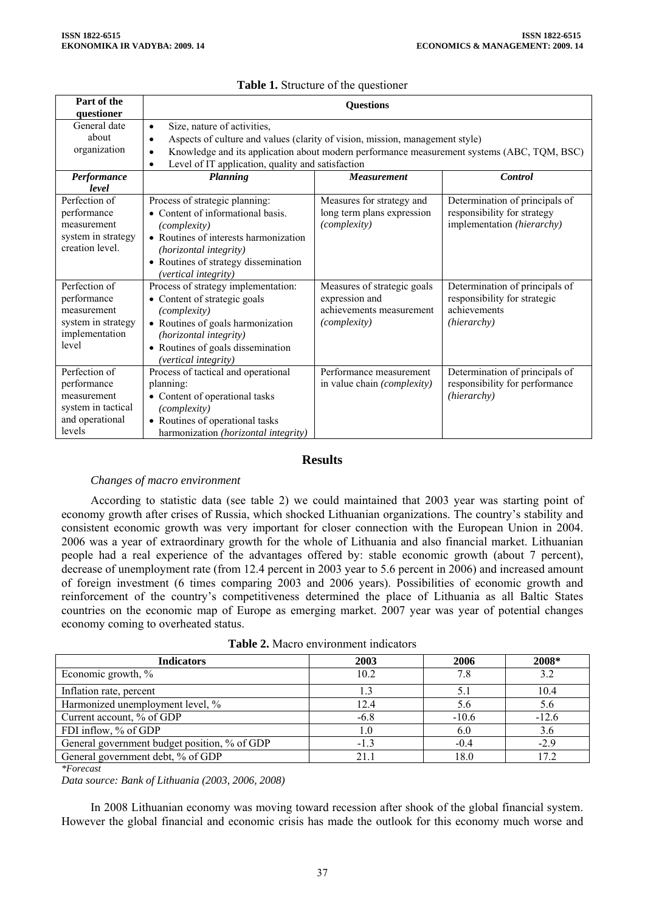| Part of the<br>questioner                                                                      | <b>Ouestions</b>                                                                                                                                                                                                                                                                                                   |                                                                                                  |                                                                                               |
|------------------------------------------------------------------------------------------------|--------------------------------------------------------------------------------------------------------------------------------------------------------------------------------------------------------------------------------------------------------------------------------------------------------------------|--------------------------------------------------------------------------------------------------|-----------------------------------------------------------------------------------------------|
| General date<br>about<br>organization                                                          | Size, nature of activities,<br>$\bullet$<br>Aspects of culture and values (clarity of vision, mission, management style)<br>$\bullet$<br>Knowledge and its application about modern performance measurement systems (ABC, TQM, BSC)<br>$\bullet$<br>Level of IT application, quality and satisfaction<br>$\bullet$ |                                                                                                  |                                                                                               |
| Performance<br>level                                                                           | <b>Planning</b>                                                                                                                                                                                                                                                                                                    | <b>Measurement</b>                                                                               | <b>Control</b>                                                                                |
| Perfection of<br>performance<br>measurement<br>system in strategy<br>creation level.           | Process of strategic planning:<br>• Content of informational basis.<br>(complexity)<br>• Routines of interests harmonization<br>(horizontal integrity)<br>• Routines of strategy dissemination<br>(vertical integrity)                                                                                             | Measures for strategy and<br>long term plans expression<br>(complexity)                          | Determination of principals of<br>responsibility for strategy<br>implementation (hierarchy)   |
| Perfection of<br>performance<br>measurement<br>system in strategy<br>implementation<br>level   | Process of strategy implementation:<br>• Content of strategic goals<br>(complexity)<br>• Routines of goals harmonization<br>(horizontal integrity)<br>• Routines of goals dissemination<br>(vertical integrity)                                                                                                    | Measures of strategic goals<br>expression and<br>achievements measurement<br><i>(complexity)</i> | Determination of principals of<br>responsibility for strategic<br>achievements<br>(hierarchy) |
| Perfection of<br>performance<br>measurement<br>system in tactical<br>and operational<br>levels | Process of tactical and operational<br>planning:<br>• Content of operational tasks<br>(complexity)<br>• Routines of operational tasks<br>harmonization (horizontal integrity)                                                                                                                                      | Performance measurement<br>in value chain (complexity)                                           | Determination of principals of<br>responsibility for performance<br>(hierarchy)               |

# **Table 1.** Structure of the questioner

# **Results**

# *Changes of macro environment*

According to statistic data (see table 2) we could maintained that 2003 year was starting point of economy growth after crises of Russia, which shocked Lithuanian organizations. The country's stability and consistent economic growth was very important for closer connection with the European Union in 2004. 2006 was a year of extraordinary growth for the whole of Lithuania and also financial market. Lithuanian people had a real experience of the advantages offered by: stable economic growth (about 7 percent), decrease of unemployment rate (from 12.4 percent in 2003 year to 5.6 percent in 2006) and increased amount of foreign investment (6 times comparing 2003 and 2006 years). Possibilities of economic growth and reinforcement of the country's competitiveness determined the place of Lithuania as all Baltic States countries on the economic map of Europe as emerging market. 2007 year was year of potential changes economy coming to overheated status.

|  | <b>Table 2.</b> Macro environment indicators |  |
|--|----------------------------------------------|--|
|  |                                              |  |

| <b>Indicators</b>                            | 2003   | 2006    | 2008*   |
|----------------------------------------------|--------|---------|---------|
| Economic growth, %                           | 10.2   | 7.8     | 3.2     |
| Inflation rate, percent                      |        |         | 10.4    |
| Harmonized unemployment level, %             | 12.4   | 5.6     | 5.6     |
| Current account, % of GDP                    | $-6.8$ | $-10.6$ | $-12.6$ |
| FDI inflow, % of GDP                         |        | 6.0     | 3.6     |
| General government budget position, % of GDP | $-1.3$ | $-0.4$  | $-2.9$  |
| General government debt, % of GDP            |        | 18.0    | 17.2    |

*\*Forecast* 

*Data source: Bank of Lithuania (2003, 2006, 2008)* 

In 2008 Lithuanian economy was moving toward recession after shook of the global financial system. However the global financial and economic crisis has made the outlook for this economy much worse and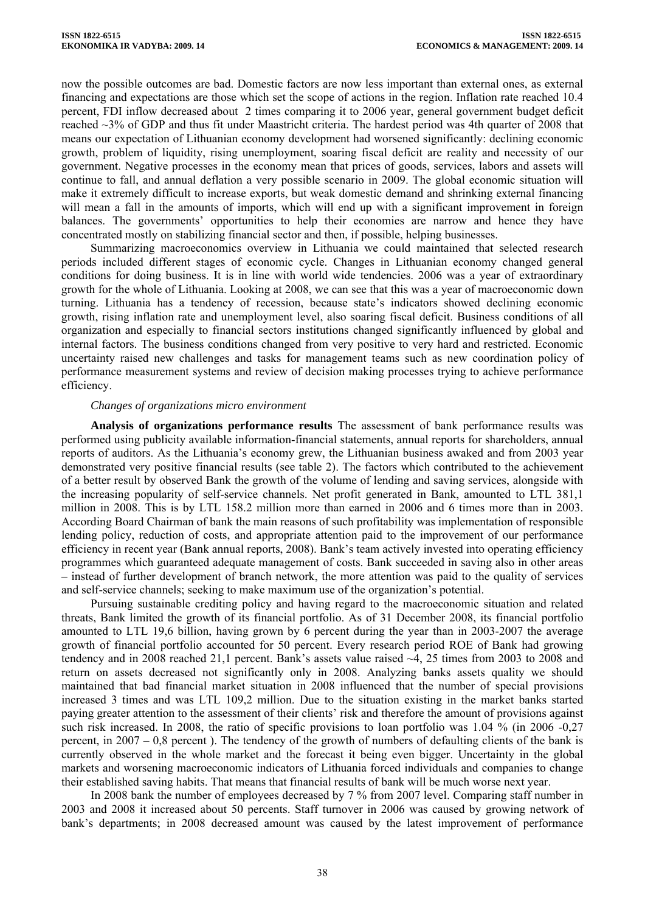now the possible outcomes are bad. Domestic factors are now less important than external ones, as external financing and expectations are those which set the scope of actions in the region. Inflation rate reached 10.4 percent, FDI inflow decreased about 2 times comparing it to 2006 year, general government budget deficit reached ~3% of GDP and thus fit under Maastricht criteria. The hardest period was 4th quarter of 2008 that means our expectation of Lithuanian economy development had worsened significantly: declining economic growth, problem of liquidity, rising unemployment, soaring fiscal deficit are reality and necessity of our government. Negative processes in the economy mean that prices of goods, services, labors and assets will continue to fall, and annual deflation a very possible scenario in 2009. The global economic situation will make it extremely difficult to increase exports, but weak domestic demand and shrinking external financing will mean a fall in the amounts of imports, which will end up with a significant improvement in foreign balances. The governments' opportunities to help their economies are narrow and hence they have concentrated mostly on stabilizing financial sector and then, if possible, helping businesses.

Summarizing macroeconomics overview in Lithuania we could maintained that selected research periods included different stages of economic cycle. Changes in Lithuanian economy changed general conditions for doing business. It is in line with world wide tendencies. 2006 was a year of extraordinary growth for the whole of Lithuania. Looking at 2008, we can see that this was a year of macroeconomic down turning. Lithuania has a tendency of recession, because state's indicators showed declining economic growth, rising inflation rate and unemployment level, also soaring fiscal deficit. Business conditions of all organization and especially to financial sectors institutions changed significantly influenced by global and internal factors. The business conditions changed from very positive to very hard and restricted. Economic uncertainty raised new challenges and tasks for management teams such as new coordination policy of performance measurement systems and review of decision making processes trying to achieve performance efficiency.

## *Changes of organizations micro environment*

**Analysis of organizations performance results** The assessment of bank performance results was performed using publicity available information-financial statements, annual reports for shareholders, annual reports of auditors. As the Lithuania's economy grew, the Lithuanian business awaked and from 2003 year demonstrated very positive financial results (see table 2). The factors which contributed to the achievement of a better result by observed Bank the growth of the volume of lending and saving services, alongside with the increasing popularity of self-service channels. Net profit generated in Bank, amounted to LTL 381,1 million in 2008. This is by LTL 158.2 million more than earned in 2006 and 6 times more than in 2003. According Board Chairman of bank the main reasons of such profitability was implementation of responsible lending policy, reduction of costs, and appropriate attention paid to the improvement of our performance efficiency in recent year (Bank annual reports, 2008). Bank's team actively invested into operating efficiency programmes which guaranteed adequate management of costs. Bank succeeded in saving also in other areas – instead of further development of branch network, the more attention was paid to the quality of services and self-service channels; seeking to make maximum use of the organization's potential.

Pursuing sustainable crediting policy and having regard to the macroeconomic situation and related threats, Bank limited the growth of its financial portfolio. As of 31 December 2008, its financial portfolio amounted to LTL 19,6 billion, having grown by 6 percent during the year than in 2003-2007 the average growth of financial portfolio accounted for 50 percent. Every research period ROE of Bank had growing tendency and in 2008 reached 21,1 percent. Bank's assets value raised ~4, 25 times from 2003 to 2008 and return on assets decreased not significantly only in 2008. Analyzing banks assets quality we should maintained that bad financial market situation in 2008 influenced that the number of special provisions increased 3 times and was LTL 109,2 million. Due to the situation existing in the market banks started paying greater attention to the assessment of their clients' risk and therefore the amount of provisions against such risk increased. In 2008, the ratio of specific provisions to loan portfolio was 1.04 % (in 2006 -0,27 percent, in 2007 – 0,8 percent ). The tendency of the growth of numbers of defaulting clients of the bank is currently observed in the whole market and the forecast it being even bigger. Uncertainty in the global markets and worsening macroeconomic indicators of Lithuania forced individuals and companies to change their established saving habits. That means that financial results of bank will be much worse next year.

In 2008 bank the number of employees decreased by 7 % from 2007 level. Comparing staff number in 2003 and 2008 it increased about 50 percents. Staff turnover in 2006 was caused by growing network of bank's departments; in 2008 decreased amount was caused by the latest improvement of performance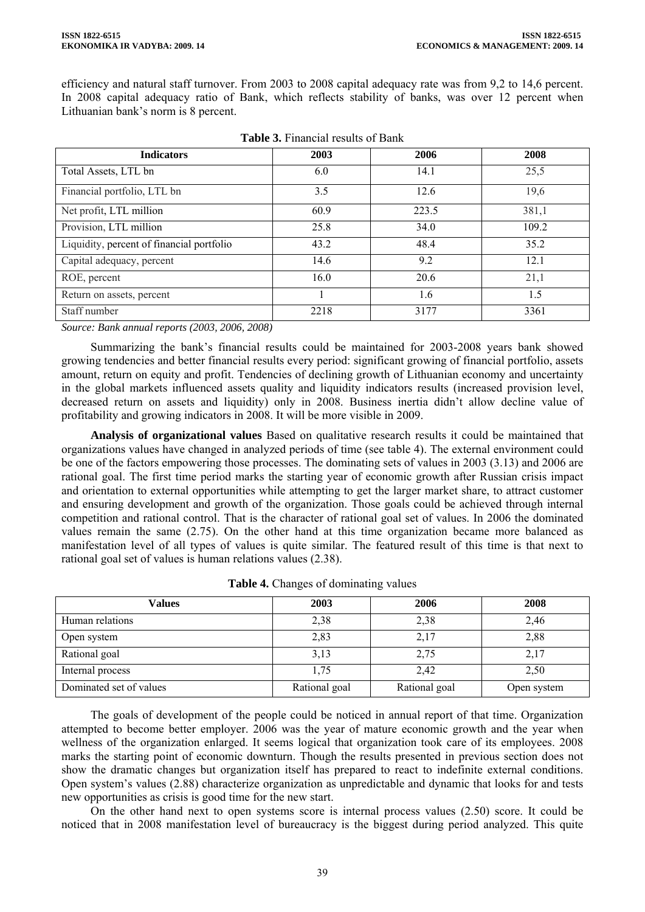efficiency and natural staff turnover. From 2003 to 2008 capital adequacy rate was from 9,2 to 14,6 percent. In 2008 capital adequacy ratio of Bank, which reflects stability of banks, was over 12 percent when Lithuanian bank's norm is 8 percent.

| <b>Indicators</b>                         | 2003 | 2006  | 2008  |
|-------------------------------------------|------|-------|-------|
| Total Assets, LTL bn                      | 6.0  | 14.1  | 25,5  |
| Financial portfolio, LTL bn               | 3.5  | 12.6  | 19,6  |
| Net profit, LTL million                   | 60.9 | 223.5 | 381,1 |
| Provision, LTL million                    | 25.8 | 34.0  | 109.2 |
| Liquidity, percent of financial portfolio | 43.2 | 48.4  | 35.2  |
| Capital adequacy, percent                 | 14.6 | 9.2   | 12.1  |
| ROE, percent                              | 16.0 | 20.6  | 21,1  |
| Return on assets, percent                 |      | 1.6   | 1.5   |
| Staff number                              | 2218 | 3177  | 3361  |

|  | <b>Table 3.</b> Financial results of Bank |  |  |
|--|-------------------------------------------|--|--|
|--|-------------------------------------------|--|--|

*Source: Bank annual reports (2003, 2006, 2008)* 

Summarizing the bank's financial results could be maintained for 2003-2008 years bank showed growing tendencies and better financial results every period: significant growing of financial portfolio, assets amount, return on equity and profit. Tendencies of declining growth of Lithuanian economy and uncertainty in the global markets influenced assets quality and liquidity indicators results (increased provision level, decreased return on assets and liquidity) only in 2008. Business inertia didn't allow decline value of profitability and growing indicators in 2008. It will be more visible in 2009.

**Analysis of organizational values** Based on qualitative research results it could be maintained that organizations values have changed in analyzed periods of time (see table 4). The external environment could be one of the factors empowering those processes. The dominating sets of values in 2003 (3.13) and 2006 are rational goal. The first time period marks the starting year of economic growth after Russian crisis impact and orientation to external opportunities while attempting to get the larger market share, to attract customer and ensuring development and growth of the organization. Those goals could be achieved through internal competition and rational control. That is the character of rational goal set of values. In 2006 the dominated values remain the same (2.75). On the other hand at this time organization became more balanced as manifestation level of all types of values is quite similar. The featured result of this time is that next to rational goal set of values is human relations values (2.38).

| Values                  | 2003          | 2006          | 2008        |
|-------------------------|---------------|---------------|-------------|
| Human relations         | 2,38          | 2,38          | 2,46        |
| Open system             | 2,83          | 2,17          | 2,88        |
| Rational goal           | 3,13          | 2,75          | 2,17        |
| Internal process        | 1,75          | 2,42          | 2,50        |
| Dominated set of values | Rational goal | Rational goal | Open system |

| Table 4. Changes of dominating values |  |
|---------------------------------------|--|
|---------------------------------------|--|

The goals of development of the people could be noticed in annual report of that time. Organization attempted to become better employer. 2006 was the year of mature economic growth and the year when wellness of the organization enlarged. It seems logical that organization took care of its employees. 2008 marks the starting point of economic downturn. Though the results presented in previous section does not show the dramatic changes but organization itself has prepared to react to indefinite external conditions. Open system's values (2.88) characterize organization as unpredictable and dynamic that looks for and tests new opportunities as crisis is good time for the new start.

On the other hand next to open systems score is internal process values (2.50) score. It could be noticed that in 2008 manifestation level of bureaucracy is the biggest during period analyzed. This quite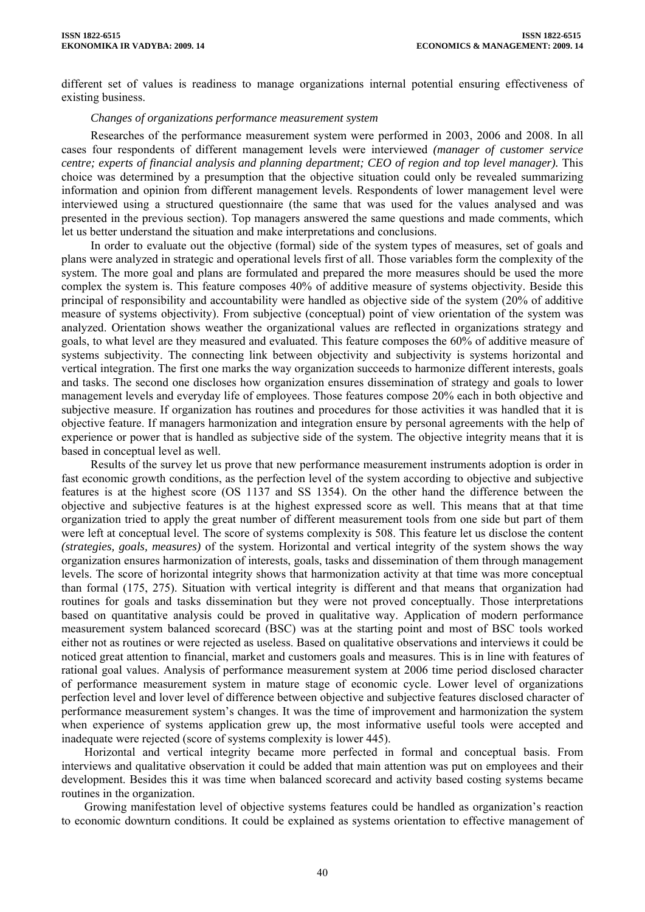different set of values is readiness to manage organizations internal potential ensuring effectiveness of existing business.

## *Changes of organizations performance measurement system*

Researches of the performance measurement system were performed in 2003, 2006 and 2008. In all cases four respondents of different management levels were interviewed *(manager of customer service centre; experts of financial analysis and planning department; CEO of region and top level manager).* This choice was determined by a presumption that the objective situation could only be revealed summarizing information and opinion from different management levels. Respondents of lower management level were interviewed using a structured questionnaire (the same that was used for the values analysed and was presented in the previous section). Top managers answered the same questions and made comments, which let us better understand the situation and make interpretations and conclusions.

In order to evaluate out the objective (formal) side of the system types of measures, set of goals and plans were analyzed in strategic and operational levels first of all. Those variables form the complexity of the system. The more goal and plans are formulated and prepared the more measures should be used the more complex the system is. This feature composes 40% of additive measure of systems objectivity. Beside this principal of responsibility and accountability were handled as objective side of the system (20% of additive measure of systems objectivity). From subjective (conceptual) point of view orientation of the system was analyzed. Orientation shows weather the organizational values are reflected in organizations strategy and goals, to what level are they measured and evaluated. This feature composes the 60% of additive measure of systems subjectivity. The connecting link between objectivity and subjectivity is systems horizontal and vertical integration. The first one marks the way organization succeeds to harmonize different interests, goals and tasks. The second one discloses how organization ensures dissemination of strategy and goals to lower management levels and everyday life of employees. Those features compose 20% each in both objective and subjective measure. If organization has routines and procedures for those activities it was handled that it is objective feature. If managers harmonization and integration ensure by personal agreements with the help of experience or power that is handled as subjective side of the system. The objective integrity means that it is based in conceptual level as well.

Results of the survey let us prove that new performance measurement instruments adoption is order in fast economic growth conditions, as the perfection level of the system according to objective and subjective features is at the highest score (OS 1137 and SS 1354). On the other hand the difference between the objective and subjective features is at the highest expressed score as well. This means that at that time organization tried to apply the great number of different measurement tools from one side but part of them were left at conceptual level. The score of systems complexity is 508. This feature let us disclose the content *(strategies, goals, measures)* of the system. Horizontal and vertical integrity of the system shows the way organization ensures harmonization of interests, goals, tasks and dissemination of them through management levels. The score of horizontal integrity shows that harmonization activity at that time was more conceptual than formal (175, 275). Situation with vertical integrity is different and that means that organization had routines for goals and tasks dissemination but they were not proved conceptually. Those interpretations based on quantitative analysis could be proved in qualitative way. Application of modern performance measurement system balanced scorecard (BSC) was at the starting point and most of BSC tools worked either not as routines or were rejected as useless. Based on qualitative observations and interviews it could be noticed great attention to financial, market and customers goals and measures. This is in line with features of rational goal values. Analysis of performance measurement system at 2006 time period disclosed character of performance measurement system in mature stage of economic cycle. Lower level of organizations perfection level and lover level of difference between objective and subjective features disclosed character of performance measurement system's changes. It was the time of improvement and harmonization the system when experience of systems application grew up, the most informative useful tools were accepted and inadequate were rejected (score of systems complexity is lower 445).

Horizontal and vertical integrity became more perfected in formal and conceptual basis. From interviews and qualitative observation it could be added that main attention was put on employees and their development. Besides this it was time when balanced scorecard and activity based costing systems became routines in the organization.

Growing manifestation level of objective systems features could be handled as organization's reaction to economic downturn conditions. It could be explained as systems orientation to effective management of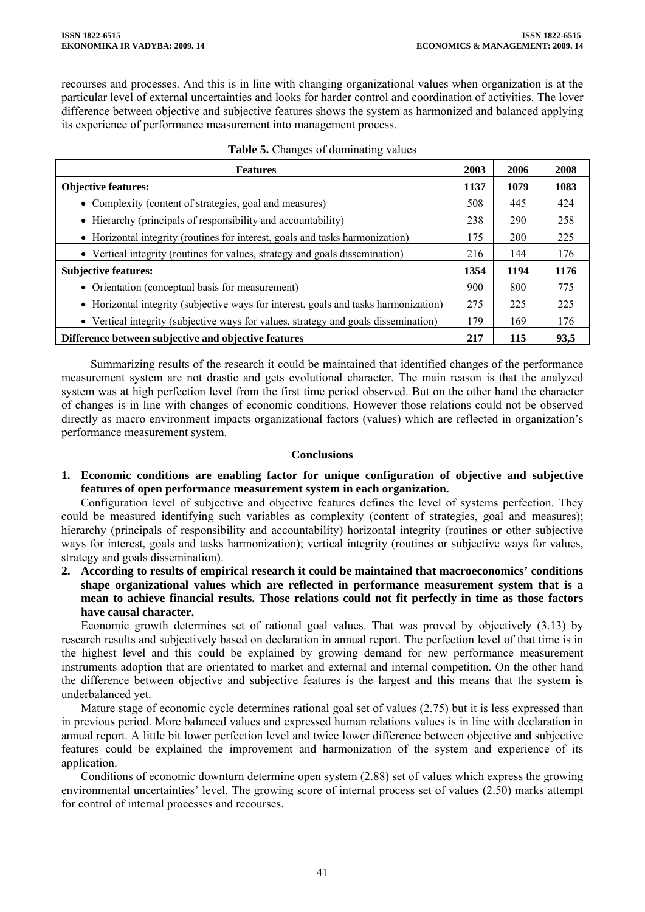recourses and processes. And this is in line with changing organizational values when organization is at the particular level of external uncertainties and looks for harder control and coordination of activities. The lover difference between objective and subjective features shows the system as harmonized and balanced applying its experience of performance measurement into management process.

| <b>Features</b>                                                                      |      | 2006       | 2008 |
|--------------------------------------------------------------------------------------|------|------------|------|
| <b>Objective features:</b>                                                           | 1137 | 1079       | 1083 |
| • Complexity (content of strategies, goal and measures)                              | 508  | 445        | 424  |
| • Hierarchy (principals of responsibility and accountability)                        | 238  | 290        | 258  |
| • Horizontal integrity (routines for interest, goals and tasks harmonization)        | 175  | <b>200</b> | 225  |
| • Vertical integrity (routines for values, strategy and goals dissemination)         |      | 144        | 176  |
| <b>Subjective features:</b>                                                          |      | 1194       | 1176 |
| • Orientation (conceptual basis for measurement)                                     | 900  | 800        | 775  |
| • Horizontal integrity (subjective ways for interest, goals and tasks harmonization) | 275  | 225        | 225  |
| • Vertical integrity (subjective ways for values, strategy and goals dissemination)  | 179  | 169        | 176  |
| Difference between subjective and objective features                                 |      | 115        | 93,5 |

|  | Table 5. Changes of dominating values |  |  |  |
|--|---------------------------------------|--|--|--|
|--|---------------------------------------|--|--|--|

Summarizing results of the research it could be maintained that identified changes of the performance measurement system are not drastic and gets evolutional character. The main reason is that the analyzed system was at high perfection level from the first time period observed. But on the other hand the character of changes is in line with changes of economic conditions. However those relations could not be observed directly as macro environment impacts organizational factors (values) which are reflected in organization's performance measurement system.

## **Conclusions**

**1. Economic conditions are enabling factor for unique configuration of objective and subjective features of open performance measurement system in each organization.** 

Configuration level of subjective and objective features defines the level of systems perfection. They could be measured identifying such variables as complexity (content of strategies, goal and measures); hierarchy (principals of responsibility and accountability) horizontal integrity (routines or other subjective ways for interest, goals and tasks harmonization); vertical integrity (routines or subjective ways for values, strategy and goals dissemination).

**2. According to results of empirical research it could be maintained that macroeconomics' conditions shape organizational values which are reflected in performance measurement system that is a mean to achieve financial results. Those relations could not fit perfectly in time as those factors have causal character.** 

Economic growth determines set of rational goal values. That was proved by objectively (3.13) by research results and subjectively based on declaration in annual report. The perfection level of that time is in the highest level and this could be explained by growing demand for new performance measurement instruments adoption that are orientated to market and external and internal competition. On the other hand the difference between objective and subjective features is the largest and this means that the system is underbalanced yet.

Mature stage of economic cycle determines rational goal set of values (2.75) but it is less expressed than in previous period. More balanced values and expressed human relations values is in line with declaration in annual report. A little bit lower perfection level and twice lower difference between objective and subjective features could be explained the improvement and harmonization of the system and experience of its application.

Conditions of economic downturn determine open system (2.88) set of values which express the growing environmental uncertainties' level. The growing score of internal process set of values (2.50) marks attempt for control of internal processes and recourses.